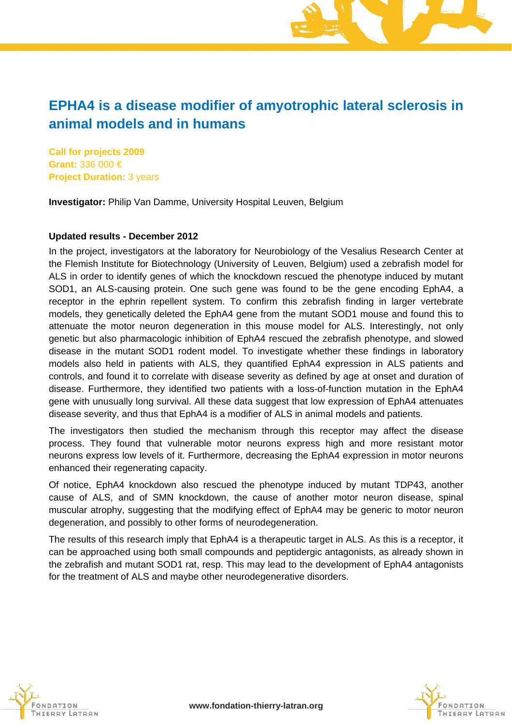# **EPHA4 is a disease modifier of amyotrophic lateral sclerosis in animal models and in humans**

**Call for projects 2009 Grant:** 336 000 € **Project Duration:** 3 years

**Investigator:** Philip Van Damme, University Hospital Leuven, Belgium

### **Updated results - December 2012**

In the project, investigators at the laboratory for Neurobiology of the Vesalius Research Center at the Flemish Institute for Biotechnology (University of Leuven, Belgium) used a zebrafish model for ALS in order to identify genes of which the knockdown rescued the phenotype induced by mutant SOD1, an ALS-causing protein. One such gene was found to be the gene encoding EphA4, a receptor in the ephrin repellent system. To confirm this zebrafish finding in larger vertebrate models, they genetically deleted the EphA4 gene from the mutant SOD1 mouse and found this to attenuate the motor neuron degeneration in this mouse model for ALS. Interestingly, not only genetic but also pharmacologic inhibition of EphA4 rescued the zebrafish phenotype, and slowed disease in the mutant SOD1 rodent model. To investigate whether these findings in laboratory models also held in patients with ALS, they quantified EphA4 expression in ALS patients and controls, and found it to correlate with disease severity as defined by age at onset and duration of disease. Furthermore, they identified two patients with a loss-of-function mutation in the EphA4 gene with unusually long survival. All these data suggest that low expression of EphA4 attenuates disease severity, and thus that EphA4 is a modifier of ALS in animal models and patients.

The investigators then studied the mechanism through this receptor may affect the disease process. They found that vulnerable motor neurons express high and more resistant motor neurons express low levels of it. Furthermore, decreasing the EphA4 expression in motor neurons enhanced their regenerating capacity.

Of notice, EphA4 knockdown also rescued the phenotype induced by mutant TDP43, another cause of ALS, and of SMN knockdown, the cause of another motor neuron disease, spinal muscular atrophy, suggesting that the modifying effect of EphA4 may be generic to motor neuron degeneration, and possibly to other forms of neurodegeneration.

The results of this research imply that EphA4 is a therapeutic target in ALS. As this is a receptor, it can be approached using both small compounds and peptidergic antagonists, as already shown in the zebrafish and mutant SOD1 rat, resp. This may lead to the development of EphA4 antagonists for the treatment of ALS and maybe other neurodegenerative disorders.



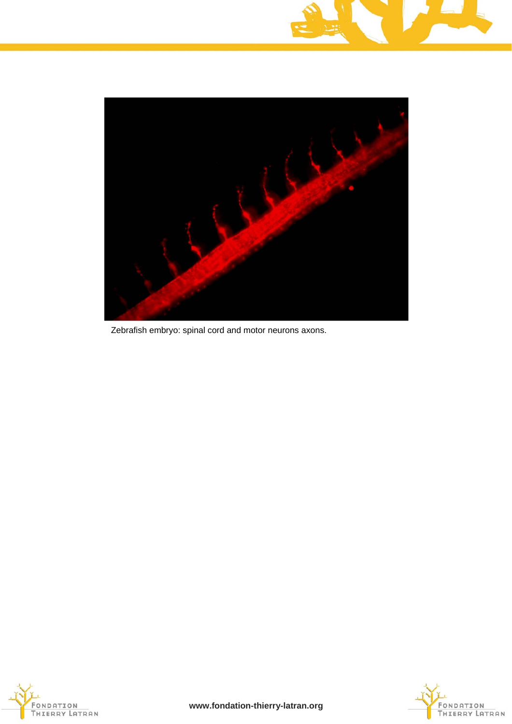



Zebrafish embryo: spinal cord and motor neurons axons.



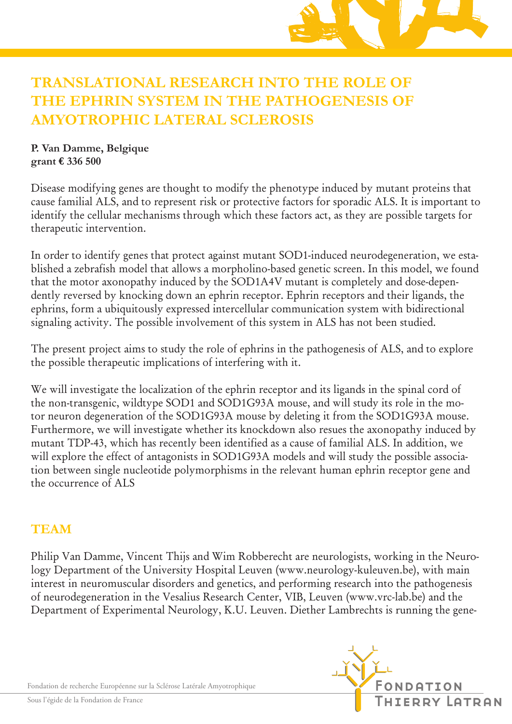

#### *Vos dons seront espoirs de Vie. Parce que la seule et vraie Valeur est la Vie.* **TRANSLATIONAL RESEARCH INTO THE ROLE OF**  *Pour guérir un jour de la Sclérose Latérale Amyotrophique,* **THE EPHRIN SYSTEM IN THE PATHOGENESIS OF AMYOTROPHIC LATERAL SCLEROSIS**

## **P. Van Damme, Belgique grant € 336 500**

identify the cellular mechanisms through which these factors act, as they are possible targets for La Sclérose Latérale Amyotrophique se manifeste par une dégénérescence de l'ensemble de la onotype induced Disease modifying genes are thought to modify the phenotype induced by mutant proteins that cause familial ALS, and to represent risk or protective factors for sporadic ALS. It is important to therapeutic intervention.

In order to identify genes that protect against mutant SOD1-induced neurodegeneration, we established a zebrafish model that allows a morpholino-based genetic screen. In this model, we found that the motor axonopathy induced by the SOD1A4V mutant is completely and dose-depenthat the motor asonopathy medeced by the SOD1114V metant is completely and dose-depen-<br>dently reversed by knocking down an ephrin receptor. Ephrin receptors and their ligands, the ephrins, form a ubiquitously expressed intercellular communication system with bidirectional ejernaling activity. The negatible involvement of this expterm in AIS has not heap studied signaling activity. The possible involvement of this system in ALS has not been studied.

The present project aims to study the role of ephrins in the pathogenesis of ALS, and to explore the possible therapeutic implications of interfering with it. *Parce que la seule et vraie Valeur est la Vie.*

We will investigate the localization of the ephrin receptor and its ligands in the spinal cord of the non-transgenic, wildtype SOD1 and SOD1G93A mouse, and will study its role in the mo-<br>the urgence also urgence a false SOD1G93A mouse also delating it fue makes SOD1G93A more tor neuron degeneration of the SOD1G93A mouse by deleting it from the SOD1G93A mouse. Furthermore, we will investigate whether its knockdown also resues the axonopathy induced by mutant TDP-43, which has recently been identified as a cause of familial ALS. In addition, we will explore the effect of antagonists in SOD1G93A models and will study the possible association between single nucleotide polymorphisms in the relevant human ephrin receptor gene and the occurrence of ALS

#### **TEAM** 3, rue de Messine 75008 Paris **CONTACTE**

Philip Van Damme, Vincent Thijs and Wim Robberecht are neurologists, working in the Neurology Department of the University Hospital Leuven (www.neurology-kuleuven.be), with main interest in neuromuscular disorders and genetics, and performing research into the pathogenesis of neurodegeneration in the Vesalius Research Center, VIB, Leuven (www.vrc-lab.be) and the Department of Experimental Neurology, K.U. Leuven. Diether Lambrechts is running the genela **première** Fondation Européenne de la recherche de la recherche de la recherche sur la recherche sur la recher